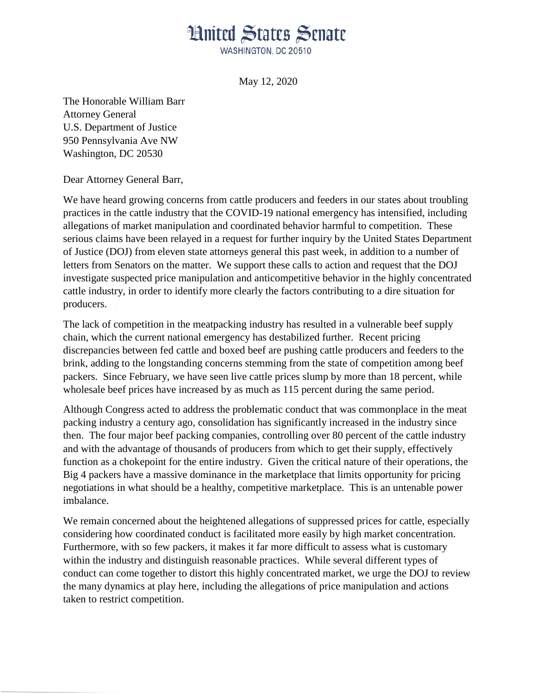## **Hnited States Senate**

WASHINGTON, DC 20510

May 12, 2020

The Honorable William Barr Attorney General U.S. Department of Justice 950 Pennsylvania Ave NW Washington, DC 20530

Dear Attorney General Barr,

We have heard growing concerns from cattle producers and feeders in our states about troubling practices in the cattle industry that the COVID-19 national emergency has intensified, including allegations of market manipulation and coordinated behavior harmful to competition. These serious claims have been relayed in a request for further inquiry by the United States Department of Justice (DOJ) from eleven state attorneys general this past week, in addition to a number of letters from Senators on the matter. We support these calls to action and request that the DOJ investigate suspected price manipulation and anticompetitive behavior in the highly concentrated cattle industry, in order to identify more clearly the factors contributing to a dire situation for producers.

The lack of competition in the meatpacking industry has resulted in a vulnerable beef supply chain, which the current national emergency has destabilized further. Recent pricing discrepancies between fed cattle and boxed beef are pushing cattle producers and feeders to the brink, adding to the longstanding concerns stemming from the state of competition among beef packers. Since February, we have seen live cattle prices slump by more than 18 percent, while wholesale beef prices have increased by as much as 115 percent during the same period.

Although Congress acted to address the problematic conduct that was commonplace in the meat packing industry a century ago, consolidation has significantly increased in the industry since then. The four major beef packing companies, controlling over 80 percent of the cattle industry and with the advantage of thousands of producers from which to get their supply, effectively function as a chokepoint for the entire industry. Given the critical nature of their operations, the Big 4 packers have a massive dominance in the marketplace that limits opportunity for pricing negotiations in what should be a healthy, competitive marketplace. This is an untenable power imbalance.

We remain concerned about the heightened allegations of suppressed prices for cattle, especially considering how coordinated conduct is facilitated more easily by high market concentration. Furthermore, with so few packers, it makes it far more difficult to assess what is customary within the industry and distinguish reasonable practices. While several different types of conduct can come together to distort this highly concentrated market, we urge the DOJ to review the many dynamics at play here, including the allegations of price manipulation and actions taken to restrict competition.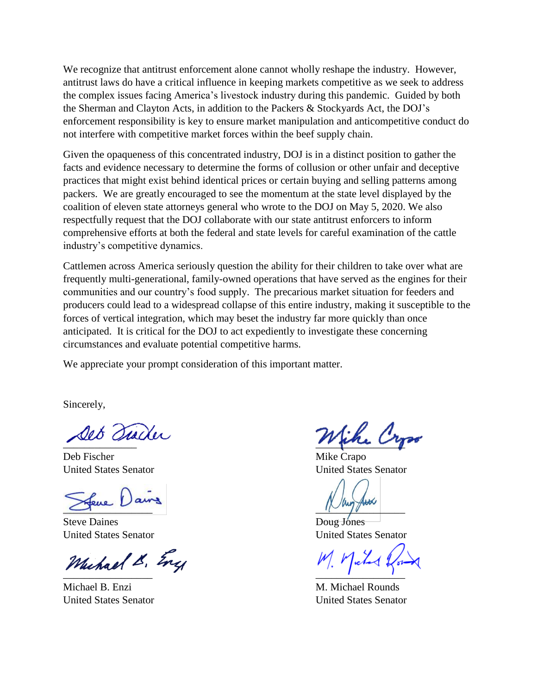We recognize that antitrust enforcement alone cannot wholly reshape the industry. However, antitrust laws do have a critical influence in keeping markets competitive as we seek to address the complex issues facing America's livestock industry during this pandemic. Guided by both the Sherman and Clayton Acts, in addition to the Packers & Stockyards Act, the DOJ's enforcement responsibility is key to ensure market manipulation and anticompetitive conduct do not interfere with competitive market forces within the beef supply chain.

Given the opaqueness of this concentrated industry, DOJ is in a distinct position to gather the facts and evidence necessary to determine the forms of collusion or other unfair and deceptive practices that might exist behind identical prices or certain buying and selling patterns among packers. We are greatly encouraged to see the momentum at the state level displayed by the coalition of eleven state attorneys general who wrote to the DOJ on May 5, 2020. We also respectfully request that the DOJ collaborate with our state antitrust enforcers to inform comprehensive efforts at both the federal and state levels for careful examination of the cattle industry's competitive dynamics.

Cattlemen across America seriously question the ability for their children to take over what are frequently multi-generational, family-owned operations that have served as the engines for their communities and our country's food supply. The precarious market situation for feeders and producers could lead to a widespread collapse of this entire industry, making it susceptible to the forces of vertical integration, which may beset the industry far more quickly than once anticipated. It is critical for the DOJ to act expediently to investigate these concerning circumstances and evaluate potential competitive harms.

We appreciate your prompt consideration of this important matter.

Sincerely,

Deb Fischer Mike Crapo United States Senator United States Senator

 $\sum_{i=1}^n$ 

Steve Daines Doug Jones

Michael & Eng

Michael B. Enzi M. Michael Rounds United States Senator United States Senator

 $\frac{1}{2}$ 

United States Senator United States Senator

M. Michael